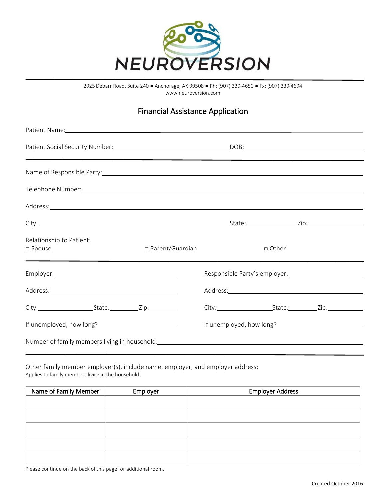

2925 Debarr Road, Suite 240 ● Anchorage, AK 99508 ● Ph: (907) 339-4650 ● Fx: (907) 339-4694 www.neuroversion.com

## Financial Assistance Application

| Patient Name: https://www.archive.com/communications/communications/communications/communications/communications/communications/communications/communications/communications/communications/communications/communications/comm |                   |         |                          |
|--------------------------------------------------------------------------------------------------------------------------------------------------------------------------------------------------------------------------------|-------------------|---------|--------------------------|
|                                                                                                                                                                                                                                |                   |         |                          |
| Name of Responsible Party: Name of Responsible Party:                                                                                                                                                                          |                   |         |                          |
| Telephone Number: National Communication of the Communication of the Communication of the Communication of the Communication of the Communication of the Communication of the Communication of the Communication of the Commun |                   |         |                          |
| Address: Andreas Address: Address: Address: Address: Address: Address: Address: Address: Address: Address: Address: Address: Address: Address: Address: Address: Address: Address: Address: Address: Address: Address: Address |                   |         |                          |
|                                                                                                                                                                                                                                |                   |         |                          |
| Relationship to Patient:<br>$\square$ Spouse                                                                                                                                                                                   | □ Parent/Guardian | □ Other |                          |
| <u> 1989 - Andrea Andrea Andrea Andrea Andrea Andrea Andrea Andrea Andrea Andrea Andrea Andrea Andrea Andrea And</u>                                                                                                           |                   |         |                          |
| Address: Note and the set of the set of the set of the set of the set of the set of the set of the set of the set of the set of the set of the set of the set of the set of the set of the set of the set of the set of the se |                   |         |                          |
|                                                                                                                                                                                                                                |                   |         |                          |
| If unemployed, how long?<br><u>If</u> unemployed, how long?                                                                                                                                                                    |                   |         | If unemployed, how long? |
| Number of family members living in household: Number of the state of the state of the state of the state of the state of the state of the state of the state of the state of the state of the state of the state of the state  |                   |         |                          |

Other family member employer(s), include name, employer, and employer address: Applies to family members living in the household.

| Name of Family Member | Employer | <b>Employer Address</b> |
|-----------------------|----------|-------------------------|
|                       |          |                         |
|                       |          |                         |
|                       |          |                         |
|                       |          |                         |
|                       |          |                         |
|                       |          |                         |
|                       |          |                         |

Please continue on the back of this page for additional room.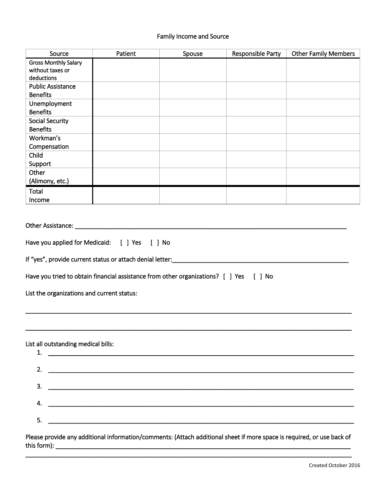## Family Income and Source

| Source                                                                                                                                                                                                                    | Patient                                                                                                                                                                                                                                      | Spouse | Responsible Party | <b>Other Family Members</b> |
|---------------------------------------------------------------------------------------------------------------------------------------------------------------------------------------------------------------------------|----------------------------------------------------------------------------------------------------------------------------------------------------------------------------------------------------------------------------------------------|--------|-------------------|-----------------------------|
| <b>Gross Monthly Salary</b>                                                                                                                                                                                               |                                                                                                                                                                                                                                              |        |                   |                             |
| without taxes or                                                                                                                                                                                                          |                                                                                                                                                                                                                                              |        |                   |                             |
| deductions                                                                                                                                                                                                                |                                                                                                                                                                                                                                              |        |                   |                             |
| <b>Public Assistance</b><br><b>Benefits</b>                                                                                                                                                                               |                                                                                                                                                                                                                                              |        |                   |                             |
| Unemployment                                                                                                                                                                                                              |                                                                                                                                                                                                                                              |        |                   |                             |
| <b>Benefits</b>                                                                                                                                                                                                           |                                                                                                                                                                                                                                              |        |                   |                             |
| <b>Social Security</b>                                                                                                                                                                                                    |                                                                                                                                                                                                                                              |        |                   |                             |
| <b>Benefits</b>                                                                                                                                                                                                           |                                                                                                                                                                                                                                              |        |                   |                             |
| Workman's                                                                                                                                                                                                                 |                                                                                                                                                                                                                                              |        |                   |                             |
| Compensation                                                                                                                                                                                                              |                                                                                                                                                                                                                                              |        |                   |                             |
| Child                                                                                                                                                                                                                     |                                                                                                                                                                                                                                              |        |                   |                             |
| Support                                                                                                                                                                                                                   |                                                                                                                                                                                                                                              |        |                   |                             |
| Other                                                                                                                                                                                                                     |                                                                                                                                                                                                                                              |        |                   |                             |
| (Alimony, etc.)                                                                                                                                                                                                           |                                                                                                                                                                                                                                              |        |                   |                             |
| Total                                                                                                                                                                                                                     |                                                                                                                                                                                                                                              |        |                   |                             |
| Income                                                                                                                                                                                                                    |                                                                                                                                                                                                                                              |        |                   |                             |
| If "yes", provide current status or attach denial letter: _______________________<br>Have you tried to obtain financial assistance from other organizations? [ ] Yes [ ] No<br>List the organizations and current status: |                                                                                                                                                                                                                                              |        |                   |                             |
| List all outstanding medical bills:<br>2.<br>3.<br>4.<br>5.                                                                                                                                                               | <u> Alexandro de la contrada de la contrada de la contrada de la contrada de la contrada de la contrada de la co</u><br><u> 2000 - Jan Barat de Barat de Barat de Barat de Barat de Barat de Barat de Barat de Barat de Barat de Barat d</u> |        |                   |                             |
| Please provide any additional information/comments: (Attach additional sheet if more space is required, or use back of                                                                                                    |                                                                                                                                                                                                                                              |        |                   |                             |

this form): \_\_\_\_\_\_\_\_\_\_\_\_\_\_\_\_\_\_\_\_\_\_\_\_\_\_\_\_\_\_\_\_\_\_\_\_\_\_\_\_\_\_\_\_\_\_\_\_\_\_\_\_\_\_\_\_\_\_\_\_\_\_\_\_\_\_\_\_\_\_\_\_\_\_\_\_\_\_\_\_\_\_\_\_\_\_\_ \_\_\_\_\_\_\_\_\_\_\_\_\_\_\_\_\_\_\_\_\_\_\_\_\_\_\_\_\_\_\_\_\_\_\_\_\_\_\_\_\_\_\_\_\_\_\_\_\_\_\_\_\_\_\_\_\_\_\_\_\_\_\_\_\_\_\_\_\_\_\_\_\_\_\_\_\_\_\_\_\_\_\_\_\_\_\_\_\_\_\_\_\_\_\_\_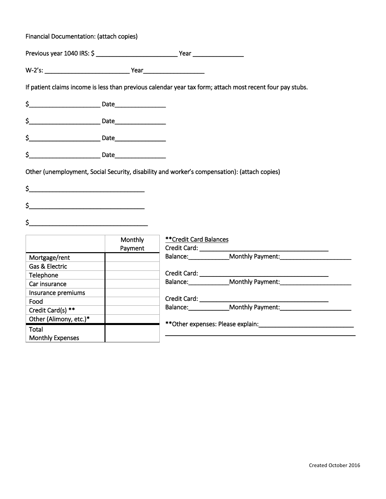| Financial Documentation: (attach copies)                                                                                                                                                                                                                                                                                                                            |         |                         |                                                                                                           |
|---------------------------------------------------------------------------------------------------------------------------------------------------------------------------------------------------------------------------------------------------------------------------------------------------------------------------------------------------------------------|---------|-------------------------|-----------------------------------------------------------------------------------------------------------|
|                                                                                                                                                                                                                                                                                                                                                                     |         |                         |                                                                                                           |
|                                                                                                                                                                                                                                                                                                                                                                     |         |                         |                                                                                                           |
|                                                                                                                                                                                                                                                                                                                                                                     |         |                         | If patient claims income is less than previous calendar year tax form; attach most recent four pay stubs. |
|                                                                                                                                                                                                                                                                                                                                                                     |         |                         |                                                                                                           |
| $\begin{picture}(25,10) \put(0,0){\vector(1,0){100}} \put(15,0){\vector(1,0){100}} \put(15,0){\vector(1,0){100}} \put(15,0){\vector(1,0){100}} \put(15,0){\vector(1,0){100}} \put(15,0){\vector(1,0){100}} \put(15,0){\vector(1,0){100}} \put(15,0){\vector(1,0){100}} \put(15,0){\vector(1,0){100}} \put(15,0){\vector(1,0){100}} \put(15,0){\vector(1,0){100}} \$ |         |                         |                                                                                                           |
| \$<br><u>Date and Date and Date and Date and Date and Date and Date and Date and Date and Date and Date and D</u>                                                                                                                                                                                                                                                   |         |                         |                                                                                                           |
| $\overline{\mathsf{S}}$                                                                                                                                                                                                                                                                                                                                             |         |                         |                                                                                                           |
| $\mathsf{S}$<br><u> 1986 - Jan Barbara, margaret amerikan ba</u><br>\$<br><u> 1980 - Johann Stoff, deutscher Stoffen und der Stoffen und der Stoffen und der Stoffen und der Stoffen und der </u><br>$\frac{1}{2}$                                                                                                                                                  |         |                         |                                                                                                           |
|                                                                                                                                                                                                                                                                                                                                                                     | Monthly | ** Credit Card Balances |                                                                                                           |
|                                                                                                                                                                                                                                                                                                                                                                     | Payment |                         |                                                                                                           |
| Mortgage/rent                                                                                                                                                                                                                                                                                                                                                       |         |                         | Balance: Monthly Payment:                                                                                 |
| Gas & Electric                                                                                                                                                                                                                                                                                                                                                      |         |                         |                                                                                                           |
| Telephone                                                                                                                                                                                                                                                                                                                                                           |         |                         |                                                                                                           |
| Car insurance                                                                                                                                                                                                                                                                                                                                                       |         |                         | Balance: Monthly Payment:                                                                                 |
| Insurance premiums                                                                                                                                                                                                                                                                                                                                                  |         |                         |                                                                                                           |
| Food                                                                                                                                                                                                                                                                                                                                                                |         |                         |                                                                                                           |
| Credit Card(s) **                                                                                                                                                                                                                                                                                                                                                   |         |                         |                                                                                                           |
| Other (Alimony, etc.)*                                                                                                                                                                                                                                                                                                                                              |         |                         |                                                                                                           |
| Total                                                                                                                                                                                                                                                                                                                                                               |         |                         |                                                                                                           |
|                                                                                                                                                                                                                                                                                                                                                                     |         |                         |                                                                                                           |

Monthly Expenses